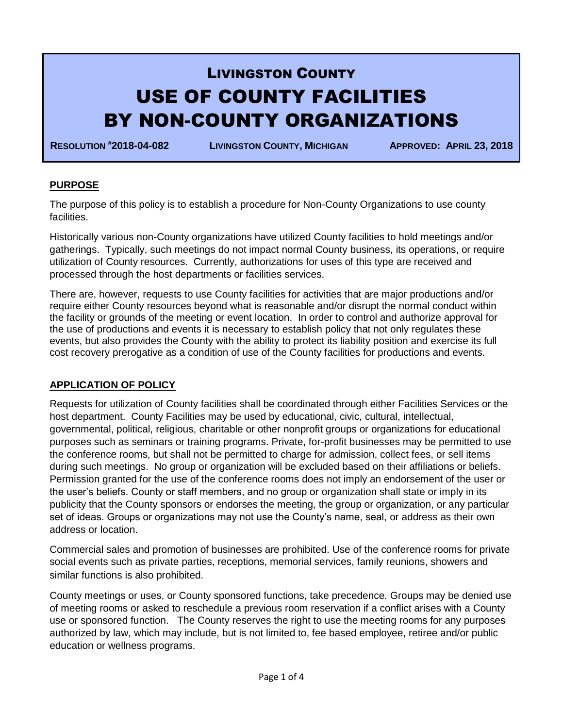# LIVINGSTON COUNTY USE OF COUNTY FACILITIES BY NON-COUNTY ORGANIZATIONS

**RESOLUTION #2018-04-082 LIVINGSTON COUNTY, MICHIGAN APPROVED: APRIL 23, 2018**

# **PURPOSE**

The purpose of this policy is to establish a procedure for Non-County Organizations to use county facilities.

Historically various non-County organizations have utilized County facilities to hold meetings and/or gatherings. Typically, such meetings do not impact normal County business, its operations, or require utilization of County resources. Currently, authorizations for uses of this type are received and processed through the host departments or facilities services.

There are, however, requests to use County facilities for activities that are major productions and/or require either County resources beyond what is reasonable and/or disrupt the normal conduct within the facility or grounds of the meeting or event location. In order to control and authorize approval for the use of productions and events it is necessary to establish policy that not only regulates these events, but also provides the County with the ability to protect its liability position and exercise its full cost recovery prerogative as a condition of use of the County facilities for productions and events.

# **APPLICATION OF POLICY**

Requests for utilization of County facilities shall be coordinated through either Facilities Services or the host department. County Facilities may be used by educational, civic, cultural, intellectual, governmental, political, religious, charitable or other nonprofit groups or organizations for educational purposes such as seminars or training programs. Private, for-profit businesses may be permitted to use the conference rooms, but shall not be permitted to charge for admission, collect fees, or sell items during such meetings. No group or organization will be excluded based on their affiliations or beliefs. Permission granted for the use of the conference rooms does not imply an endorsement of the user or the user's beliefs. County or staff members, and no group or organization shall state or imply in its publicity that the County sponsors or endorses the meeting, the group or organization, or any particular set of ideas. Groups or organizations may not use the County's name, seal, or address as their own address or location.

Commercial sales and promotion of businesses are prohibited. Use of the conference rooms for private social events such as private parties, receptions, memorial services, family reunions, showers and similar functions is also prohibited.

County meetings or uses, or County sponsored functions, take precedence. Groups may be denied use of meeting rooms or asked to reschedule a previous room reservation if a conflict arises with a County use or sponsored function. The County reserves the right to use the meeting rooms for any purposes authorized by law, which may include, but is not limited to, fee based employee, retiree and/or public education or wellness programs.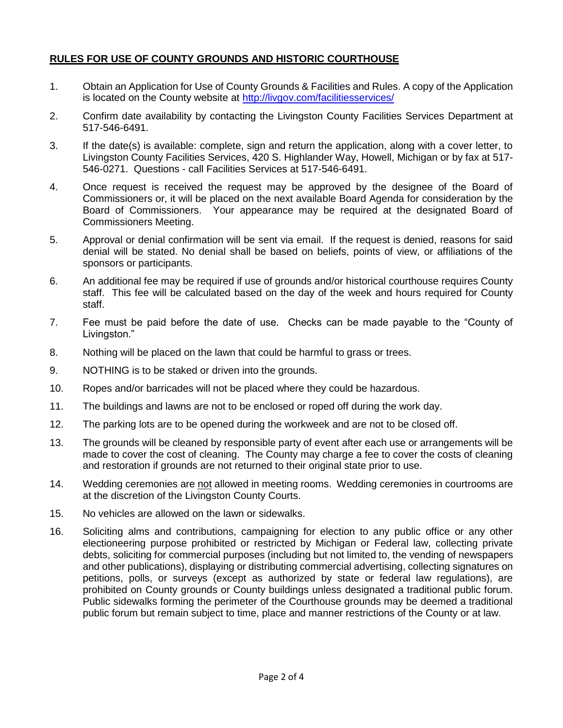# **RULES FOR USE OF COUNTY GROUNDS AND HISTORIC COURTHOUSE**

- 1. Obtain an Application for Use of County Grounds & Facilities and Rules. A copy of the Application is located on the County website at<http://livgov.com/facilitiesservices/>
- 2. Confirm date availability by contacting the Livingston County Facilities Services Department at 517-546-6491.
- 3. If the date(s) is available: complete, sign and return the application, along with a cover letter, to Livingston County Facilities Services, 420 S. Highlander Way, Howell, Michigan or by fax at 517- 546-0271. Questions - call Facilities Services at 517-546-6491.
- 4. Once request is received the request may be approved by the designee of the Board of Commissioners or, it will be placed on the next available Board Agenda for consideration by the Board of Commissioners. Your appearance may be required at the designated Board of Commissioners Meeting.
- 5. Approval or denial confirmation will be sent via email. If the request is denied, reasons for said denial will be stated. No denial shall be based on beliefs, points of view, or affiliations of the sponsors or participants.
- 6. An additional fee may be required if use of grounds and/or historical courthouse requires County staff. This fee will be calculated based on the day of the week and hours required for County staff.
- 7. Fee must be paid before the date of use. Checks can be made payable to the "County of Livingston."
- 8. Nothing will be placed on the lawn that could be harmful to grass or trees.
- 9. NOTHING is to be staked or driven into the grounds.
- 10. Ropes and/or barricades will not be placed where they could be hazardous.
- 11. The buildings and lawns are not to be enclosed or roped off during the work day.
- 12. The parking lots are to be opened during the workweek and are not to be closed off.
- 13. The grounds will be cleaned by responsible party of event after each use or arrangements will be made to cover the cost of cleaning. The County may charge a fee to cover the costs of cleaning and restoration if grounds are not returned to their original state prior to use.
- 14. Wedding ceremonies are not allowed in meeting rooms. Wedding ceremonies in courtrooms are at the discretion of the Livingston County Courts.
- 15. No vehicles are allowed on the lawn or sidewalks.
- 16. Soliciting alms and contributions, campaigning for election to any public office or any other electioneering purpose prohibited or restricted by Michigan or Federal law, collecting private debts, soliciting for commercial purposes (including but not limited to, the vending of newspapers and other publications), displaying or distributing commercial advertising, collecting signatures on petitions, polls, or surveys (except as authorized by state or federal law regulations), are prohibited on County grounds or County buildings unless designated a traditional public forum. Public sidewalks forming the perimeter of the Courthouse grounds may be deemed a traditional public forum but remain subject to time, place and manner restrictions of the County or at law.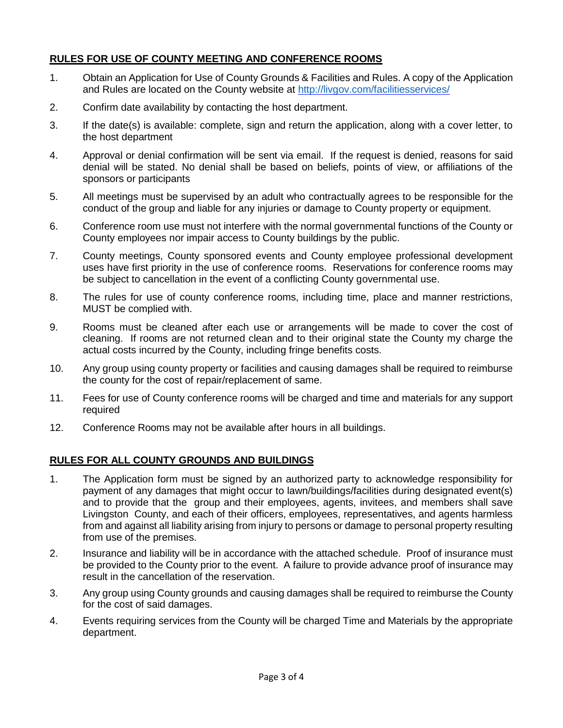# **RULES FOR USE OF COUNTY MEETING AND CONFERENCE ROOMS**

- 1. Obtain an Application for Use of County Grounds & Facilities and Rules. A copy of the Application and Rules are located on the County website at<http://livgov.com/facilitiesservices/>
- 2. Confirm date availability by contacting the host department.
- 3. If the date(s) is available: complete, sign and return the application, along with a cover letter, to the host department
- 4. Approval or denial confirmation will be sent via email. If the request is denied, reasons for said denial will be stated. No denial shall be based on beliefs, points of view, or affiliations of the sponsors or participants
- 5. All meetings must be supervised by an adult who contractually agrees to be responsible for the conduct of the group and liable for any injuries or damage to County property or equipment.
- 6. Conference room use must not interfere with the normal governmental functions of the County or County employees nor impair access to County buildings by the public.
- 7. County meetings, County sponsored events and County employee professional development uses have first priority in the use of conference rooms. Reservations for conference rooms may be subject to cancellation in the event of a conflicting County governmental use.
- 8. The rules for use of county conference rooms, including time, place and manner restrictions, MUST be complied with.
- 9. Rooms must be cleaned after each use or arrangements will be made to cover the cost of cleaning. If rooms are not returned clean and to their original state the County my charge the actual costs incurred by the County, including fringe benefits costs.
- 10. Any group using county property or facilities and causing damages shall be required to reimburse the county for the cost of repair/replacement of same.
- 11. Fees for use of County conference rooms will be charged and time and materials for any support required
- 12. Conference Rooms may not be available after hours in all buildings.

# **RULES FOR ALL COUNTY GROUNDS AND BUILDINGS**

- 1. The Application form must be signed by an authorized party to acknowledge responsibility for payment of any damages that might occur to lawn/buildings/facilities during designated event(s) and to provide that the group and their employees, agents, invitees, and members shall save Livingston County, and each of their officers, employees, representatives, and agents harmless from and against all liability arising from injury to persons or damage to personal property resulting from use of the premises.
- 2. Insurance and liability will be in accordance with the attached schedule. Proof of insurance must be provided to the County prior to the event. A failure to provide advance proof of insurance may result in the cancellation of the reservation.
- 3. Any group using County grounds and causing damages shall be required to reimburse the County for the cost of said damages.
- 4. Events requiring services from the County will be charged Time and Materials by the appropriate department.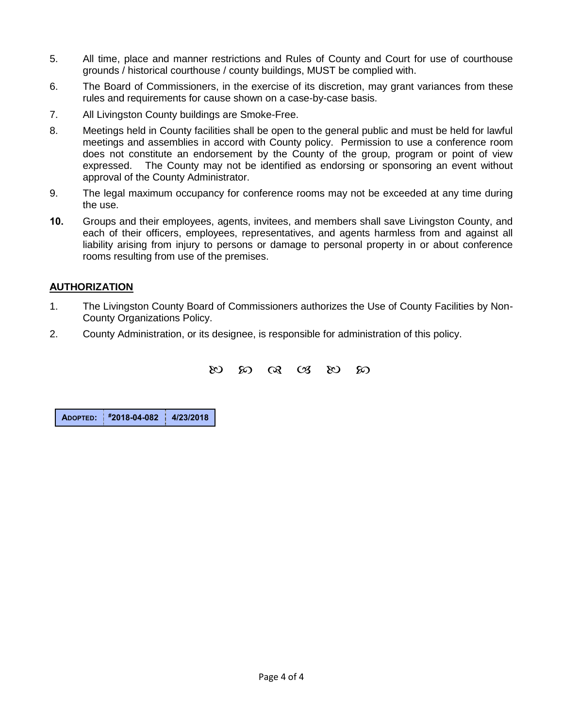- 5. All time, place and manner restrictions and Rules of County and Court for use of courthouse grounds / historical courthouse / county buildings, MUST be complied with.
- 6. The Board of Commissioners, in the exercise of its discretion, may grant variances from these rules and requirements for cause shown on a case-by-case basis.
- 7. All Livingston County buildings are Smoke-Free.
- 8. Meetings held in County facilities shall be open to the general public and must be held for lawful meetings and assemblies in accord with County policy. Permission to use a conference room does not constitute an endorsement by the County of the group, program or point of view expressed. The County may not be identified as endorsing or sponsoring an event without approval of the County Administrator.
- 9. The legal maximum occupancy for conference rooms may not be exceeded at any time during the use.
- **10.** Groups and their employees, agents, invitees, and members shall save Livingston County, and each of their officers, employees, representatives, and agents harmless from and against all liability arising from injury to persons or damage to personal property in or about conference rooms resulting from use of the premises.

# **AUTHORIZATION**

- 1. The Livingston County Board of Commissioners authorizes the Use of County Facilities by Non-County Organizations Policy.
- 2. County Administration, or its designee, is responsible for administration of this policy.

 $\frac{1}{2}$   $\frac{1}{2}$   $\frac{1}{2}$   $\frac{1}{2}$   $\frac{1}{2}$   $\frac{1}{2}$   $\frac{1}{2}$   $\frac{1}{2}$   $\frac{1}{2}$   $\frac{1}{2}$   $\frac{1}{2}$   $\frac{1}{2}$   $\frac{1}{2}$   $\frac{1}{2}$   $\frac{1}{2}$   $\frac{1}{2}$   $\frac{1}{2}$   $\frac{1}{2}$   $\frac{1}{2}$   $\frac{1}{2}$   $\frac{1}{2}$   $\frac{1}{2}$ 

**ADOPTED: #2018-04-082 4/23/2018**